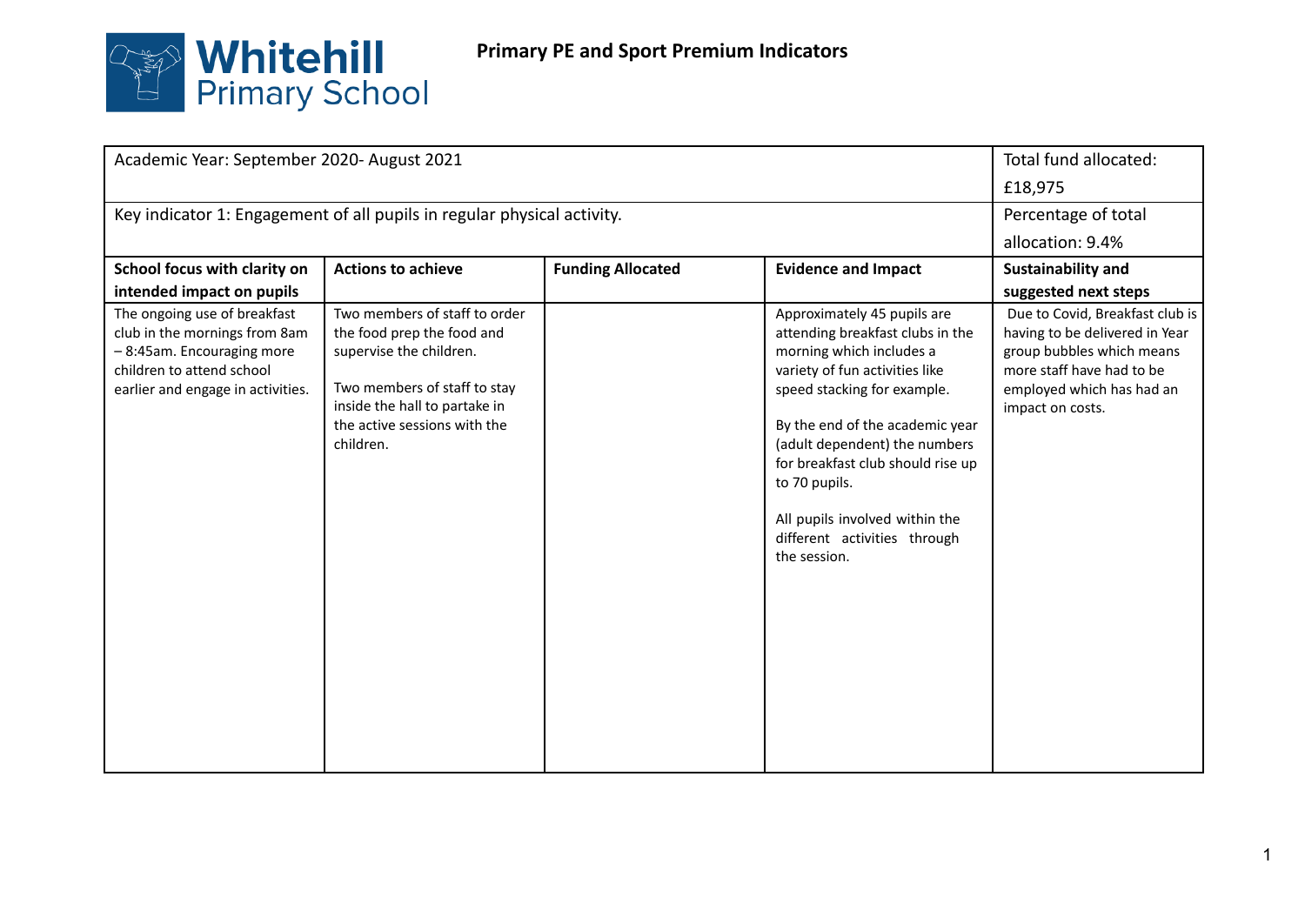

| Academic Year: September 2020- August 2021                                                                                                                   |                                                                                                                                                                                                      |                          |                                                                                                                                                                                                                                                                                                                                                                          | Total fund allocated:                                                                                                                                                        |
|--------------------------------------------------------------------------------------------------------------------------------------------------------------|------------------------------------------------------------------------------------------------------------------------------------------------------------------------------------------------------|--------------------------|--------------------------------------------------------------------------------------------------------------------------------------------------------------------------------------------------------------------------------------------------------------------------------------------------------------------------------------------------------------------------|------------------------------------------------------------------------------------------------------------------------------------------------------------------------------|
|                                                                                                                                                              |                                                                                                                                                                                                      |                          |                                                                                                                                                                                                                                                                                                                                                                          | £18,975                                                                                                                                                                      |
| Key indicator 1: Engagement of all pupils in regular physical activity.                                                                                      |                                                                                                                                                                                                      |                          |                                                                                                                                                                                                                                                                                                                                                                          | Percentage of total                                                                                                                                                          |
|                                                                                                                                                              |                                                                                                                                                                                                      |                          |                                                                                                                                                                                                                                                                                                                                                                          | allocation: 9.4%                                                                                                                                                             |
| School focus with clarity on                                                                                                                                 | <b>Actions to achieve</b>                                                                                                                                                                            | <b>Funding Allocated</b> | <b>Evidence and Impact</b>                                                                                                                                                                                                                                                                                                                                               | <b>Sustainability and</b>                                                                                                                                                    |
| intended impact on pupils                                                                                                                                    |                                                                                                                                                                                                      |                          |                                                                                                                                                                                                                                                                                                                                                                          | suggested next steps                                                                                                                                                         |
| The ongoing use of breakfast<br>club in the mornings from 8am<br>-8:45am. Encouraging more<br>children to attend school<br>earlier and engage in activities. | Two members of staff to order<br>the food prep the food and<br>supervise the children.<br>Two members of staff to stay<br>inside the hall to partake in<br>the active sessions with the<br>children. |                          | Approximately 45 pupils are<br>attending breakfast clubs in the<br>morning which includes a<br>variety of fun activities like<br>speed stacking for example.<br>By the end of the academic year<br>(adult dependent) the numbers<br>for breakfast club should rise up<br>to 70 pupils.<br>All pupils involved within the<br>different activities through<br>the session. | Due to Covid, Breakfast club is<br>having to be delivered in Year<br>group bubbles which means<br>more staff have had to be<br>employed which has had an<br>impact on costs. |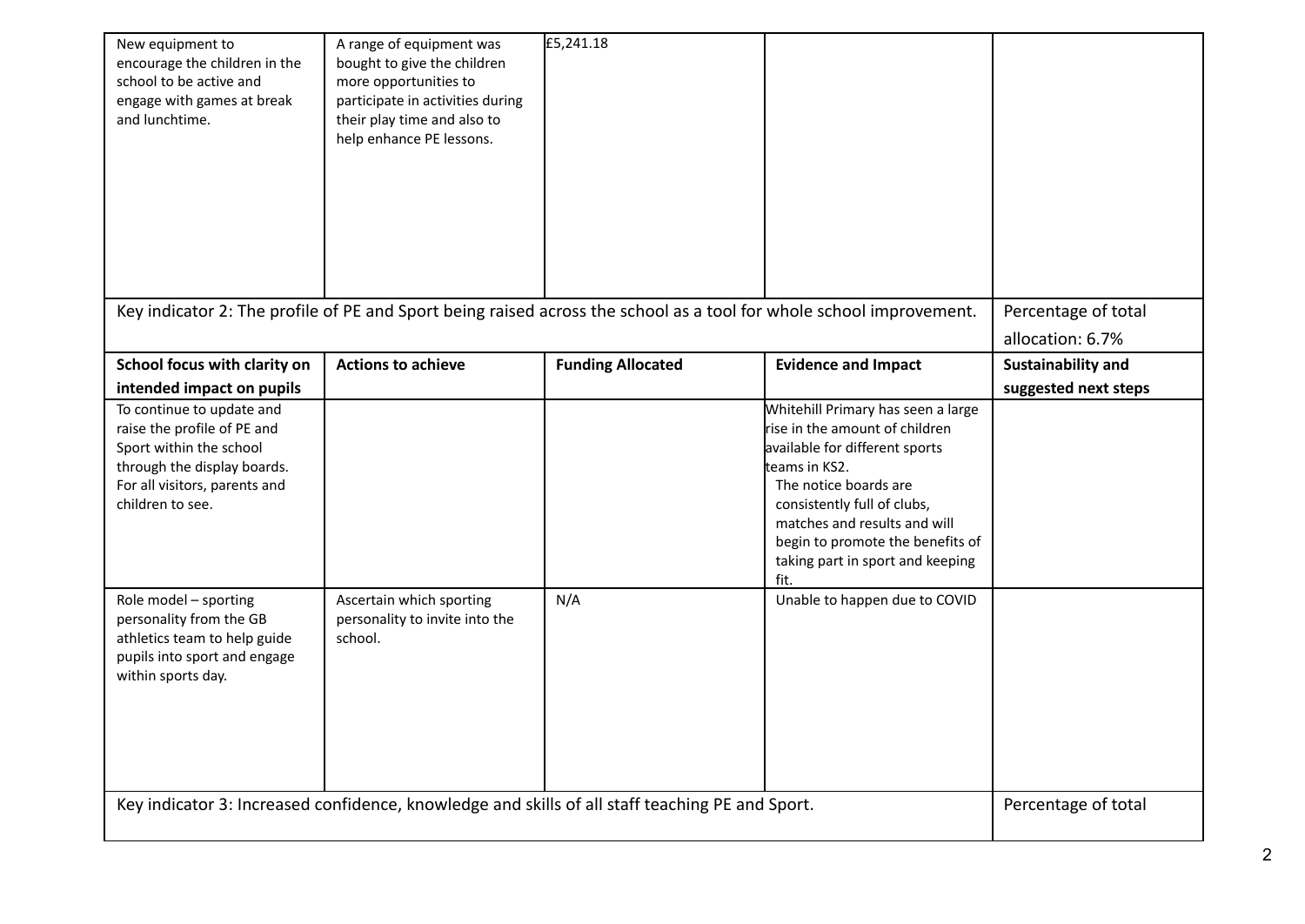| New equipment to<br>encourage the children in the<br>school to be active and<br>engage with games at break<br>and lunchtime.                                            | A range of equipment was<br>bought to give the children<br>more opportunities to<br>participate in activities during<br>their play time and also to<br>help enhance PE lessons. | £5,241.18                |                                                                                                                                                                                                                                                                                                 |                                         |
|-------------------------------------------------------------------------------------------------------------------------------------------------------------------------|---------------------------------------------------------------------------------------------------------------------------------------------------------------------------------|--------------------------|-------------------------------------------------------------------------------------------------------------------------------------------------------------------------------------------------------------------------------------------------------------------------------------------------|-----------------------------------------|
|                                                                                                                                                                         | Key indicator 2: The profile of PE and Sport being raised across the school as a tool for whole school improvement.                                                             |                          |                                                                                                                                                                                                                                                                                                 | Percentage of total<br>allocation: 6.7% |
| School focus with clarity on                                                                                                                                            | <b>Actions to achieve</b>                                                                                                                                                       | <b>Funding Allocated</b> | <b>Evidence and Impact</b>                                                                                                                                                                                                                                                                      | Sustainability and                      |
| intended impact on pupils                                                                                                                                               |                                                                                                                                                                                 |                          |                                                                                                                                                                                                                                                                                                 | suggested next steps                    |
| To continue to update and<br>raise the profile of PE and<br>Sport within the school<br>through the display boards.<br>For all visitors, parents and<br>children to see. |                                                                                                                                                                                 |                          | Whitehill Primary has seen a large<br>rise in the amount of children<br>available for different sports<br>teams in KS2.<br>The notice boards are<br>consistently full of clubs,<br>matches and results and will<br>begin to promote the benefits of<br>taking part in sport and keeping<br>fit. |                                         |
| Role model - sporting<br>personality from the GB<br>athletics team to help guide<br>pupils into sport and engage<br>within sports day.                                  | Ascertain which sporting<br>personality to invite into the<br>school.                                                                                                           | N/A                      | Unable to happen due to COVID                                                                                                                                                                                                                                                                   |                                         |
| Key indicator 3: Increased confidence, knowledge and skills of all staff teaching PE and Sport.                                                                         |                                                                                                                                                                                 |                          |                                                                                                                                                                                                                                                                                                 | Percentage of total                     |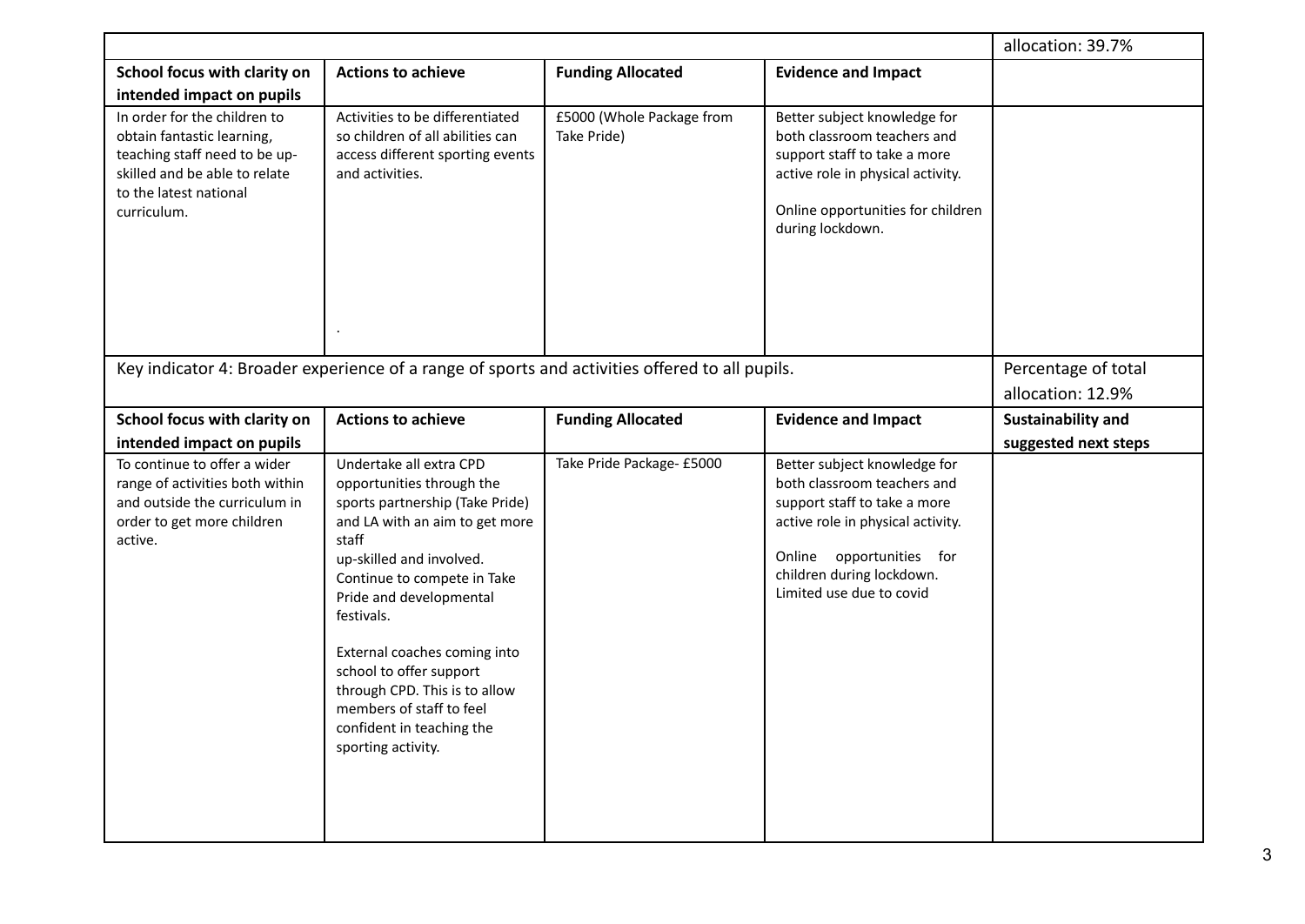|                                                                                                                                                                       |                                                                                                                                                                                                                                                                                                                                                                                                                   |                                          |                                                                                                                                                                                                                       | allocation: 39.7%    |
|-----------------------------------------------------------------------------------------------------------------------------------------------------------------------|-------------------------------------------------------------------------------------------------------------------------------------------------------------------------------------------------------------------------------------------------------------------------------------------------------------------------------------------------------------------------------------------------------------------|------------------------------------------|-----------------------------------------------------------------------------------------------------------------------------------------------------------------------------------------------------------------------|----------------------|
| School focus with clarity on<br>intended impact on pupils                                                                                                             | <b>Actions to achieve</b>                                                                                                                                                                                                                                                                                                                                                                                         | <b>Funding Allocated</b>                 | <b>Evidence and Impact</b>                                                                                                                                                                                            |                      |
| In order for the children to<br>obtain fantastic learning,<br>teaching staff need to be up-<br>skilled and be able to relate<br>to the latest national<br>curriculum. | Activities to be differentiated<br>so children of all abilities can<br>access different sporting events<br>and activities.                                                                                                                                                                                                                                                                                        | £5000 (Whole Package from<br>Take Pride) | Better subject knowledge for<br>both classroom teachers and<br>support staff to take a more<br>active role in physical activity.<br>Online opportunities for children<br>during lockdown.                             |                      |
|                                                                                                                                                                       | Key indicator 4: Broader experience of a range of sports and activities offered to all pupils.                                                                                                                                                                                                                                                                                                                    |                                          |                                                                                                                                                                                                                       | Percentage of total  |
|                                                                                                                                                                       |                                                                                                                                                                                                                                                                                                                                                                                                                   |                                          |                                                                                                                                                                                                                       | allocation: 12.9%    |
| School focus with clarity on                                                                                                                                          | <b>Actions to achieve</b>                                                                                                                                                                                                                                                                                                                                                                                         | <b>Funding Allocated</b>                 | <b>Evidence and Impact</b>                                                                                                                                                                                            | Sustainability and   |
| intended impact on pupils                                                                                                                                             |                                                                                                                                                                                                                                                                                                                                                                                                                   |                                          |                                                                                                                                                                                                                       | suggested next steps |
| To continue to offer a wider<br>range of activities both within<br>and outside the curriculum in<br>order to get more children<br>active.                             | Undertake all extra CPD<br>opportunities through the<br>sports partnership (Take Pride)<br>and LA with an aim to get more<br>staff<br>up-skilled and involved.<br>Continue to compete in Take<br>Pride and developmental<br>festivals.<br>External coaches coming into<br>school to offer support<br>through CPD. This is to allow<br>members of staff to feel<br>confident in teaching the<br>sporting activity. | Take Pride Package- £5000                | Better subject knowledge for<br>both classroom teachers and<br>support staff to take a more<br>active role in physical activity.<br>Online opportunities for<br>children during lockdown.<br>Limited use due to covid |                      |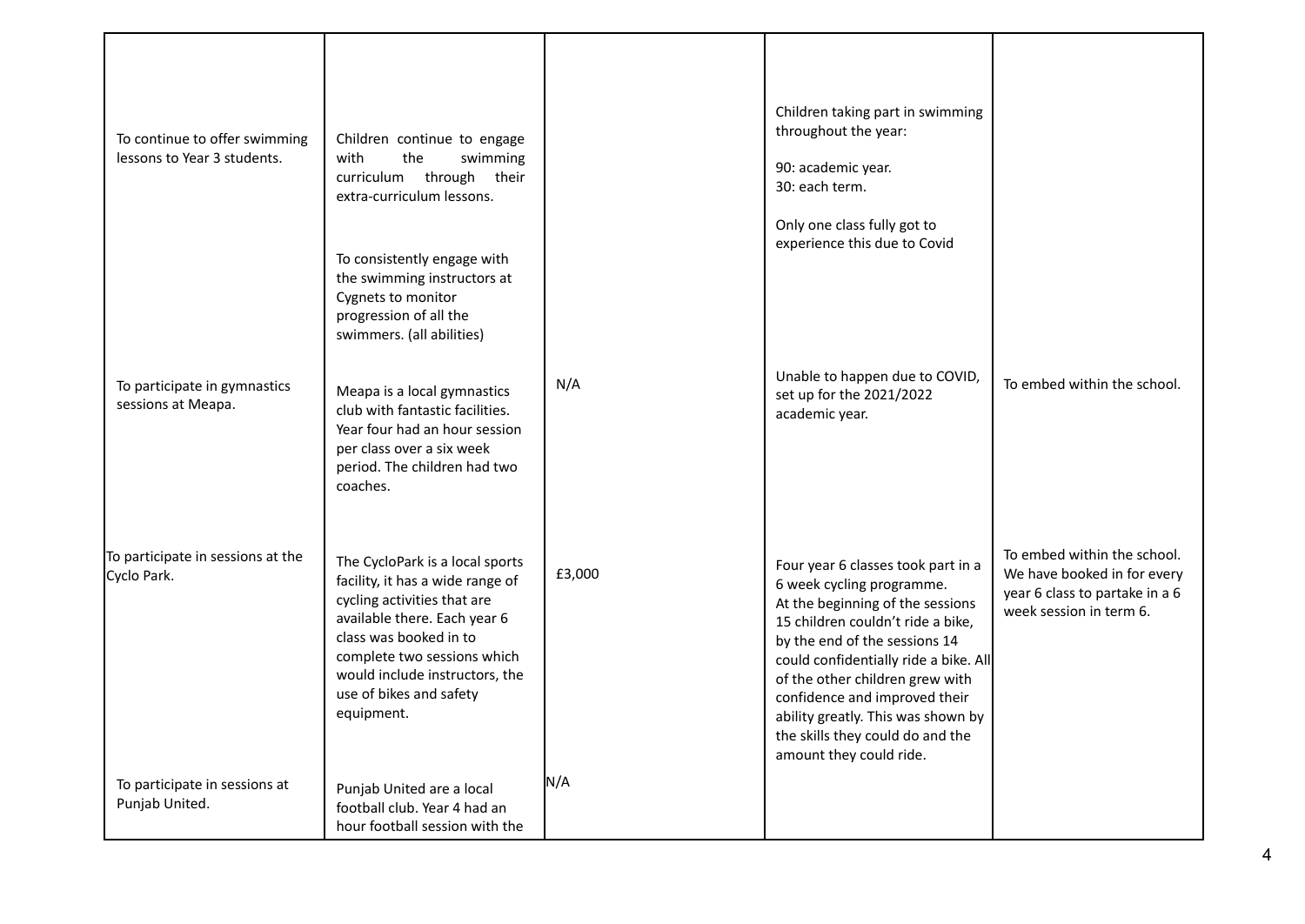| To continue to offer swimming<br>lessons to Year 3 students.<br>To participate in gymnastics<br>sessions at Meapa. | Children continue to engage<br>with<br>the<br>swimming<br>curriculum through their<br>extra-curriculum lessons.<br>To consistently engage with<br>the swimming instructors at<br>Cygnets to monitor<br>progression of all the<br>swimmers. (all abilities)<br>Meapa is a local gymnastics<br>club with fantastic facilities.<br>Year four had an hour session<br>per class over a six week                        | N/A           | Children taking part in swimming<br>throughout the year:<br>90: academic year.<br>30: each term.<br>Only one class fully got to<br>experience this due to Covid<br>Unable to happen due to COVID,<br>set up for the 2021/2022<br>academic year.                                                                                                                                             | To embed within the school.                                                                                             |
|--------------------------------------------------------------------------------------------------------------------|-------------------------------------------------------------------------------------------------------------------------------------------------------------------------------------------------------------------------------------------------------------------------------------------------------------------------------------------------------------------------------------------------------------------|---------------|---------------------------------------------------------------------------------------------------------------------------------------------------------------------------------------------------------------------------------------------------------------------------------------------------------------------------------------------------------------------------------------------|-------------------------------------------------------------------------------------------------------------------------|
| To participate in sessions at the<br>Cyclo Park.<br>To participate in sessions at<br>Punjab United.                | period. The children had two<br>coaches.<br>The CycloPark is a local sports<br>facility, it has a wide range of<br>cycling activities that are<br>available there. Each year 6<br>class was booked in to<br>complete two sessions which<br>would include instructors, the<br>use of bikes and safety<br>equipment.<br>Punjab United are a local<br>football club. Year 4 had an<br>hour football session with the | £3,000<br>N/A | Four year 6 classes took part in a<br>6 week cycling programme.<br>At the beginning of the sessions<br>15 children couldn't ride a bike,<br>by the end of the sessions 14<br>could confidentially ride a bike. All<br>of the other children grew with<br>confidence and improved their<br>ability greatly. This was shown by<br>the skills they could do and the<br>amount they could ride. | To embed within the school.<br>We have booked in for every<br>year 6 class to partake in a 6<br>week session in term 6. |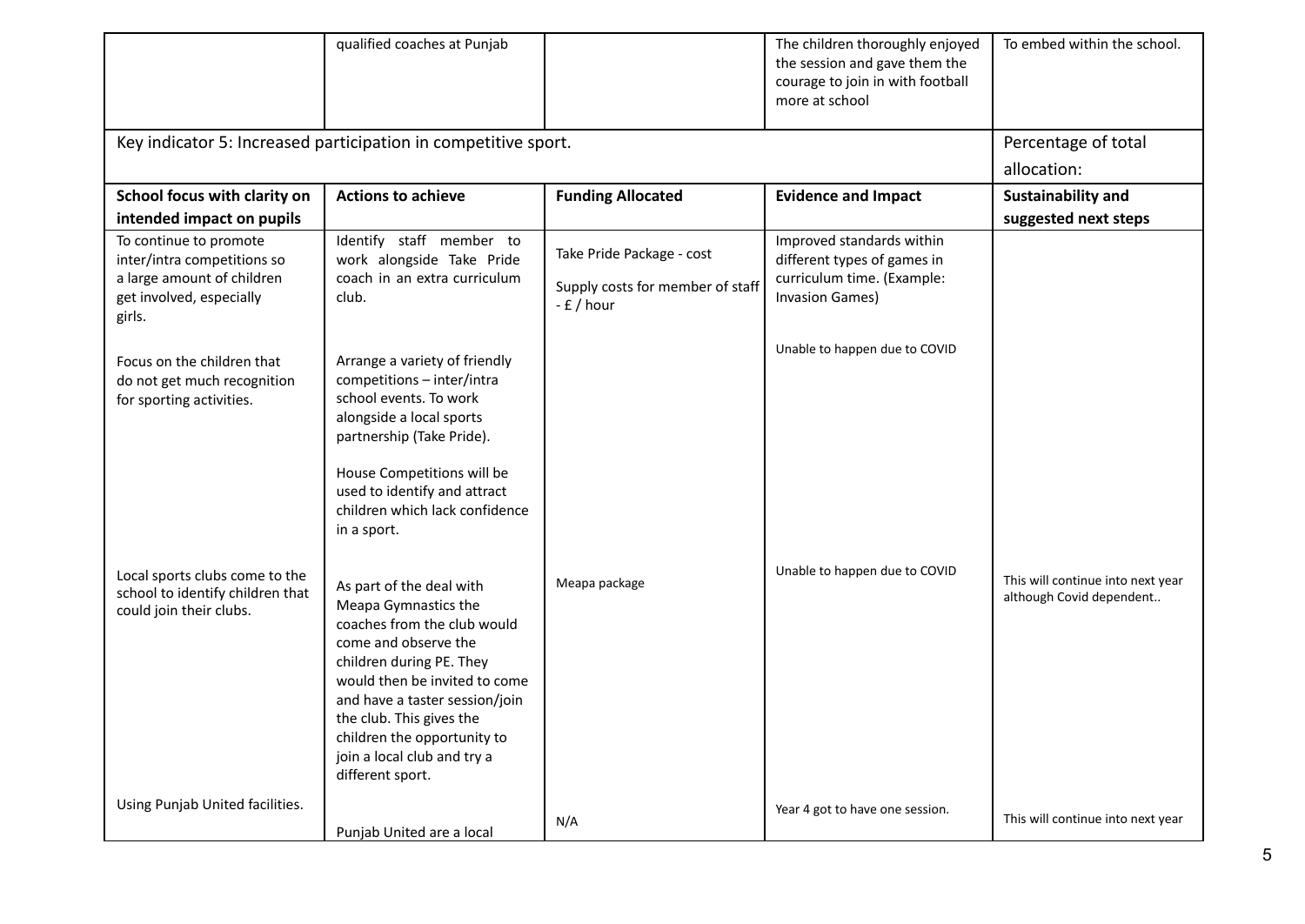|                                                                                                                           | qualified coaches at Punjab                                                                                                                                                                                                                                                                                          |                                                                              | The children thoroughly enjoyed<br>the session and gave them the<br>courage to join in with football<br>more at school | To embed within the school.                                   |
|---------------------------------------------------------------------------------------------------------------------------|----------------------------------------------------------------------------------------------------------------------------------------------------------------------------------------------------------------------------------------------------------------------------------------------------------------------|------------------------------------------------------------------------------|------------------------------------------------------------------------------------------------------------------------|---------------------------------------------------------------|
| Key indicator 5: Increased participation in competitive sport.                                                            | Percentage of total                                                                                                                                                                                                                                                                                                  |                                                                              |                                                                                                                        |                                                               |
|                                                                                                                           |                                                                                                                                                                                                                                                                                                                      |                                                                              |                                                                                                                        | allocation:                                                   |
| School focus with clarity on                                                                                              | <b>Actions to achieve</b>                                                                                                                                                                                                                                                                                            | <b>Funding Allocated</b>                                                     | <b>Evidence and Impact</b>                                                                                             | Sustainability and                                            |
| intended impact on pupils                                                                                                 |                                                                                                                                                                                                                                                                                                                      |                                                                              |                                                                                                                        | suggested next steps                                          |
| To continue to promote<br>inter/intra competitions so<br>a large amount of children<br>get involved, especially<br>girls. | Identify staff member to<br>work alongside Take Pride<br>coach in an extra curriculum<br>club.                                                                                                                                                                                                                       | Take Pride Package - cost<br>Supply costs for member of staff<br>$-E / hour$ | Improved standards within<br>different types of games in<br>curriculum time. (Example:<br><b>Invasion Games)</b>       |                                                               |
| Focus on the children that<br>do not get much recognition<br>for sporting activities.                                     | Arrange a variety of friendly<br>competitions - inter/intra<br>school events. To work<br>alongside a local sports<br>partnership (Take Pride).<br>House Competitions will be<br>used to identify and attract<br>children which lack confidence<br>in a sport.                                                        |                                                                              | Unable to happen due to COVID                                                                                          |                                                               |
| Local sports clubs come to the<br>school to identify children that<br>could join their clubs.                             | As part of the deal with<br>Meapa Gymnastics the<br>coaches from the club would<br>come and observe the<br>children during PE. They<br>would then be invited to come<br>and have a taster session/join<br>the club. This gives the<br>children the opportunity to<br>join a local club and try a<br>different sport. | Meapa package                                                                | Unable to happen due to COVID                                                                                          | This will continue into next year<br>although Covid dependent |
| Using Punjab United facilities.                                                                                           | Punjab United are a local                                                                                                                                                                                                                                                                                            | N/A                                                                          | Year 4 got to have one session.                                                                                        | This will continue into next year                             |